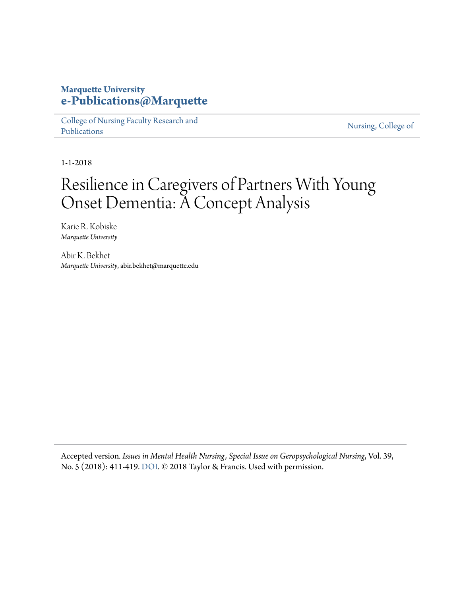# **Marquette University [e-Publications@Marquette](https://epublications.marquette.edu)**

[College of Nursing Faculty Research and](https://epublications.marquette.edu/nursing_fac) [Publications](https://epublications.marquette.edu/nursing_fac)

[Nursing, College of](https://epublications.marquette.edu/nursing)

1-1-2018

# Resilience in Caregivers of Partners With Young Onset Dementia: A Concept Analysis

Karie R. Kobiske *Marquette University*

Abir K. Bekhet *Marquette University*, abir.bekhet@marquette.edu

Accepted version*. Issues in Mental Health Nursing, Special Issue on Geropsychological Nursing*, Vol. 39, No. 5 (2018): 411-419. [DOI.](https://doi.org/10.1080/01612840.2017.1400625) © 2018 Taylor & Francis. Used with permission.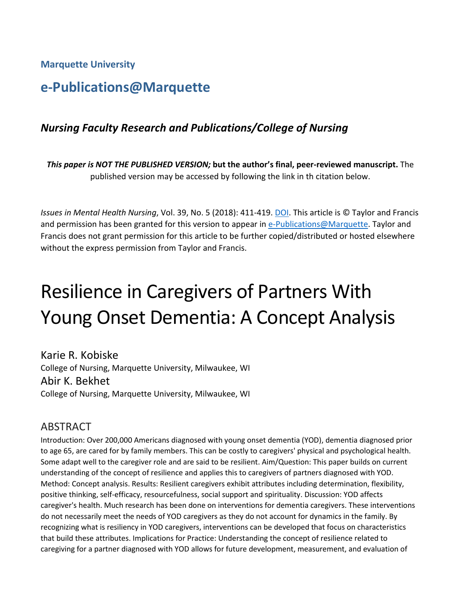**Marquette University**

# **e-Publications@Marquette**

# *Nursing Faculty Research and Publications/College of Nursing*

*This paper is NOT THE PUBLISHED VERSION;* **but the author's final, peer-reviewed manuscript.** The published version may be accessed by following the link in th citation below.

*Issues in Mental Health Nursing*, Vol. 39, No. 5 (2018): 411-419. [DOI.](https://doi.org/10.1080/01612840.2017.1400625) This article is © Taylor and Francis and permission has been granted for this version to appear in [e-Publications@Marquette.](http://epublications.marquette.edu/) Taylor and Francis does not grant permission for this article to be further copied/distributed or hosted elsewhere without the express permission from Taylor and Francis.

# Resilience in Caregivers of Partners With Young Onset Dementia: A Concept Analysis

Karie R. Kobiske College of Nursing, Marquette University, Milwaukee, WI Abir K. Bekhet College of Nursing, Marquette University, Milwaukee, WI

# ABSTRACT

Introduction: Over 200,000 Americans diagnosed with young onset dementia (YOD), dementia diagnosed prior to age 65, are cared for by family members. This can be costly to caregivers' physical and psychological health. Some adapt well to the caregiver role and are said to be resilient. Aim/Question: This paper builds on current understanding of the concept of resilience and applies this to caregivers of partners diagnosed with YOD. Method: Concept analysis. Results: Resilient caregivers exhibit attributes including determination, flexibility, positive thinking, self-efficacy, resourcefulness, social support and spirituality. Discussion: YOD affects caregiver's health. Much research has been done on interventions for dementia caregivers. These interventions do not necessarily meet the needs of YOD caregivers as they do not account for dynamics in the family. By recognizing what is resiliency in YOD caregivers, interventions can be developed that focus on characteristics that build these attributes. Implications for Practice: Understanding the concept of resilience related to caregiving for a partner diagnosed with YOD allows for future development, measurement, and evaluation of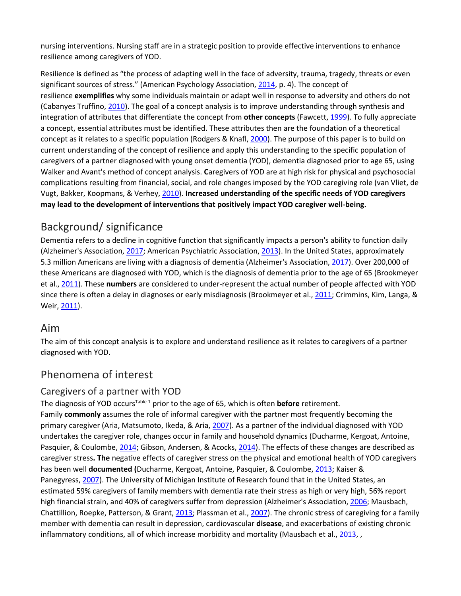nursing interventions. Nursing staff are in a strategic position to provide effective interventions to enhance resilience among caregivers of YOD.

Resilience **is** defined as "the process of adapting well in the face of adversity, trauma, tragedy, threats or even significant sources of stress." (American Psychology Association, [2014,](https://www.tandfonline.com/doi/full/10.1080/01612840.2017.1400625) p. 4). The concept of resilience **exemplifies** why some individuals maintain or adapt well in response to adversity and others do not (Cabanyes Truffino, [2010\)](https://www.tandfonline.com/doi/full/10.1080/01612840.2017.1400625). The goal of a concept analysis is to improve understanding through synthesis and integration of attributes that differentiate the concept from **other concepts** (Fawcett, [1999\)](https://www.tandfonline.com/doi/full/10.1080/01612840.2017.1400625). To fully appreciate a concept, essential attributes must be identified. These attributes then are the foundation of a theoretical concept as it relates to a specific population (Rodgers & Knafl, [2000\)](https://www.tandfonline.com/doi/full/10.1080/01612840.2017.1400625). The purpose of this paper is to build on current understanding of the concept of resilience and apply this understanding to the specific population of caregivers of a partner diagnosed with young onset dementia (YOD), dementia diagnosed prior to age 65, using Walker and Avant's method of concept analysis. **C**aregivers of YOD are at high risk for physical and psychosocial complications resulting from financial, social, and role changes imposed by the YOD caregiving role (van Vliet, de Vugt, Bakker, Koopmans, & Verhey, [2010\)](https://www.tandfonline.com/doi/full/10.1080/01612840.2017.1400625). **Increased understanding of the specific needs of YOD caregivers may lead to the development of interventions that positively impact YOD caregiver well-being.**

# Background/ significance

Dementia refers to a decline in cognitive function that significantly impacts a person's ability to function daily (Alzheimer's Association, [2017;](https://www.tandfonline.com/doi/full/10.1080/01612840.2017.1400625) American Psychiatric Association, [2013\)](https://www.tandfonline.com/doi/full/10.1080/01612840.2017.1400625). In the United States, approximately 5.3 million Americans are living with a diagnosis of dementia (Alzheimer's Association, [2017\)](https://www.tandfonline.com/doi/full/10.1080/01612840.2017.1400625). Over 200,000 of these Americans are diagnosed with YOD, which is the diagnosis of dementia prior to the age of 65 (Brookmeyer et al., [2011\)](https://www.tandfonline.com/doi/full/10.1080/01612840.2017.1400625). These **numbers** are considered to under-represent the actual number of people affected with YOD since there is often a delay in diagnoses or early misdiagnosis (Brookmeyer et al., [2011;](https://www.tandfonline.com/doi/full/10.1080/01612840.2017.1400625) Crimmins, Kim, Langa, & Weir, [2011\)](https://www.tandfonline.com/doi/full/10.1080/01612840.2017.1400625).

# Aim

The aim of this concept analysis is to explore and understand resilience as it relates to caregivers of a partner diagnosed with YOD.

# Phenomena of interest

### Caregivers of a partner with YOD

The diagnosis of YOD occursTable 1 prior to the age of 65, which is often **before** retirement. Family **commonly** assumes the role of informal caregiver with the partner most frequently becoming the primary caregiver (Aria, Matsumoto, Ikeda, & Aria, [2007\)](https://www.tandfonline.com/doi/full/10.1080/01612840.2017.1400625). As a partner of the individual diagnosed with YOD undertakes the caregiver role, changes occur in family and household dynamics (Ducharme, Kergoat, Antoine, Pasquier, & Coulombe, [2014;](https://www.tandfonline.com/doi/full/10.1080/01612840.2017.1400625) Gibson, Andersen, & Acocks, [2014\)](https://www.tandfonline.com/doi/full/10.1080/01612840.2017.1400625). The effects of these changes are described as caregiver stress**. The** negative effects of caregiver stress on the physical and emotional health of YOD caregivers has been well **documented (**Ducharme, Kergoat, Antoine, Pasquier, & Coulombe, [2013;](https://www.tandfonline.com/doi/full/10.1080/01612840.2017.1400625) Kaiser & Panegyress, [2007\)](https://www.tandfonline.com/doi/full/10.1080/01612840.2017.1400625). The University of Michigan Institute of Research found that in the United States, an estimated 59% caregivers of family members with dementia rate their stress as high or very high, 56% report high financial strain, and 40% of caregivers suffer from depression (Alzheimer's Association, [2006;](https://www.tandfonline.com/doi/full/10.1080/01612840.2017.1400625) Mausbach, Chattillion, Roepke, Patterson, & Grant, [2013;](https://www.tandfonline.com/doi/full/10.1080/01612840.2017.1400625) Plassman et al., [2007\)](https://www.tandfonline.com/doi/full/10.1080/01612840.2017.1400625). The chronic stress of caregiving for a family member with dementia can result in depression, cardiovascular **disease**, and exacerbations of existing chronic inflammatory conditions, all of which increase morbidity and mortality (Mausbach et al., [2013,](https://www.tandfonline.com/doi/full/10.1080/01612840.2017.1400625) [,](http://scholar.google.com/scholar_lookup?hl=en&publication_year=2013&pages=5-13&issue=1&author=B.T.+Mausbach&author=E.+A.+Chattillion&author=S.+K.+Roepke&author=T.+L.+Patterson&author=I.+Grant&title=A+comparison+of+psychosocial+outcomes+in+elderly+Alzheimer+caregivers+and+noncaregivers)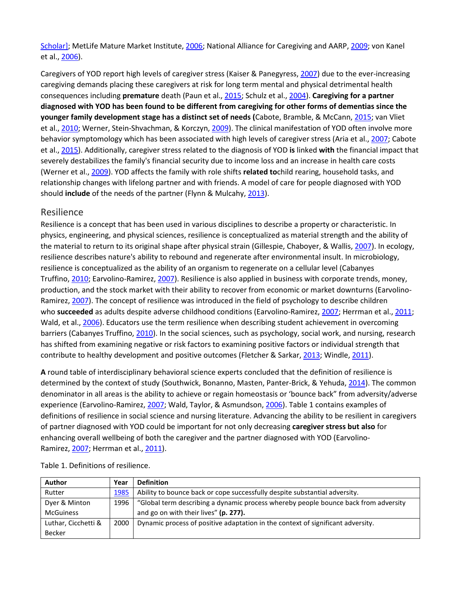[Scholar\];](http://scholar.google.com/scholar_lookup?hl=en&publication_year=2013&pages=5-13&issue=1&author=B.T.+Mausbach&author=E.+A.+Chattillion&author=S.+K.+Roepke&author=T.+L.+Patterson&author=I.+Grant&title=A+comparison+of+psychosocial+outcomes+in+elderly+Alzheimer+caregivers+and+noncaregivers) MetLife Mature Market Institute, [2006;](https://www.tandfonline.com/doi/full/10.1080/01612840.2017.1400625) National Alliance for Caregiving and AARP, [2009;](https://www.tandfonline.com/doi/full/10.1080/01612840.2017.1400625) von Kanel et al., [2006\)](https://www.tandfonline.com/doi/full/10.1080/01612840.2017.1400625).

Caregivers of YOD report high levels of caregiver stress (Kaiser & Panegyress, [2007\)](https://www.tandfonline.com/doi/full/10.1080/01612840.2017.1400625) due to the ever-increasing caregiving demands placing these caregivers at risk for long term mental and physical detrimental health consequences including **premature** death (Paun et al., [2015;](https://www.tandfonline.com/doi/full/10.1080/01612840.2017.1400625) Schulz et al., [2004\)](https://www.tandfonline.com/doi/full/10.1080/01612840.2017.1400625). **Caregiving for a partner diagnosed with YOD has been found to be different from caregiving for other forms of dementias since the younger family development stage has a distinct set of needs (**Cabote, Bramble, & McCann, [2015;](https://www.tandfonline.com/doi/full/10.1080/01612840.2017.1400625) van Vliet et al., [2010;](https://www.tandfonline.com/doi/full/10.1080/01612840.2017.1400625) Werner, Stein-Shvachman, & Korczyn, [2009\)](https://www.tandfonline.com/doi/full/10.1080/01612840.2017.1400625). The clinical manifestation of YOD often involve more behavior symptomology which has been associated with high levels of caregiver stress (Aria et al., [2007;](https://www.tandfonline.com/doi/full/10.1080/01612840.2017.1400625) Cabote et al., [2015\)](https://www.tandfonline.com/doi/full/10.1080/01612840.2017.1400625). Additionally, caregiver stress related to the diagnosis of YOD **is** linked **with** the financial impact that severely destabilizes the family's financial security due to income loss and an increase in health care costs (Werner et al., [2009\)](https://www.tandfonline.com/doi/full/10.1080/01612840.2017.1400625). YOD affects the family with role shifts **related to**child rearing, household tasks, and relationship changes with lifelong partner and with friends. A model of care for people diagnosed with YOD should **include** of the needs of the partner (Flynn & Mulcahy, [2013\)](https://www.tandfonline.com/doi/full/10.1080/01612840.2017.1400625).

### Resilience

Resilience is a concept that has been used in various disciplines to describe a property or characteristic. In physics, engineering, and physical sciences, resilience is conceptualized as material strength and the ability of the material to return to its original shape after physical strain (Gillespie, Chaboyer, & Wallis, [2007\)](https://www.tandfonline.com/doi/full/10.1080/01612840.2017.1400625). In ecology, resilience describes nature's ability to rebound and regenerate after environmental insult. In microbiology, resilience is conceptualized as the ability of an organism to regenerate on a cellular level (Cabanyes Truffino, [2010;](https://www.tandfonline.com/doi/full/10.1080/01612840.2017.1400625) Earvolino-Ramirez, [2007\)](https://www.tandfonline.com/doi/full/10.1080/01612840.2017.1400625). Resilience is also applied in business with corporate trends, money, production, and the stock market with their ability to recover from economic or market downturns (Earvolino-Ramirez, [2007\)](https://www.tandfonline.com/doi/full/10.1080/01612840.2017.1400625). The concept of resilience was introduced in the field of psychology to describe children who **succeeded** as adults despite adverse childhood conditions (Earvolino-Ramirez, [2007;](https://www.tandfonline.com/doi/full/10.1080/01612840.2017.1400625) Herrman et al., [2011;](https://www.tandfonline.com/doi/full/10.1080/01612840.2017.1400625) Wald, et al., [2006\)](https://www.tandfonline.com/doi/full/10.1080/01612840.2017.1400625). Educators use the term resilience when describing student achievement in overcoming barriers (Cabanyes Truffino, [2010\)](https://www.tandfonline.com/doi/full/10.1080/01612840.2017.1400625). In the social sciences, such as psychology, social work, and nursing, research has shifted from examining negative or risk factors to examining positive factors or individual strength that contribute to healthy development and positive outcomes (Fletcher & Sarkar, [2013;](https://www.tandfonline.com/doi/full/10.1080/01612840.2017.1400625) Windle, [2011\)](https://www.tandfonline.com/doi/full/10.1080/01612840.2017.1400625).

**A** round table of interdisciplinary behavioral science experts concluded that the definition of resilience is determined by the context of study (Southwick, Bonanno, Masten, Panter-Brick, & Yehuda, [2014\)](https://www.tandfonline.com/doi/full/10.1080/01612840.2017.1400625). The common denominator in all areas is the ability to achieve or regain homeostasis or 'bounce back" from adversity/adverse experience (Earvolino-Ramirez, [2007;](https://www.tandfonline.com/doi/full/10.1080/01612840.2017.1400625) Wald, Taylor, & Asmundson, [2006\)](https://www.tandfonline.com/doi/full/10.1080/01612840.2017.1400625). Table 1 contains examples of definitions of resilience in social science and nursing literature. Advancing the ability to be resilient in caregivers of partner diagnosed with YOD could be important for not only decreasing **caregiver stress but also** for enhancing overall wellbeing of both the caregiver and the partner diagnosed with YOD (Earvolino-Ramirez, [2007;](https://www.tandfonline.com/doi/full/10.1080/01612840.2017.1400625) Herrman et al., [2011\)](https://www.tandfonline.com/doi/full/10.1080/01612840.2017.1400625).

| Author              | Year | <b>Definition</b>                                                                   |  |
|---------------------|------|-------------------------------------------------------------------------------------|--|
| Rutter              | 1985 | Ability to bounce back or cope successfully despite substantial adversity.          |  |
| Dyer & Minton       | 1996 | "Global term describing a dynamic process whereby people bounce back from adversity |  |
| <b>McGuiness</b>    |      | and go on with their lives" (p. 277).                                               |  |
| Luthar, Cicchetti & | 2000 | Dynamic process of positive adaptation in the context of significant adversity.     |  |
| <b>Becker</b>       |      |                                                                                     |  |

Table 1. Definitions of resilience.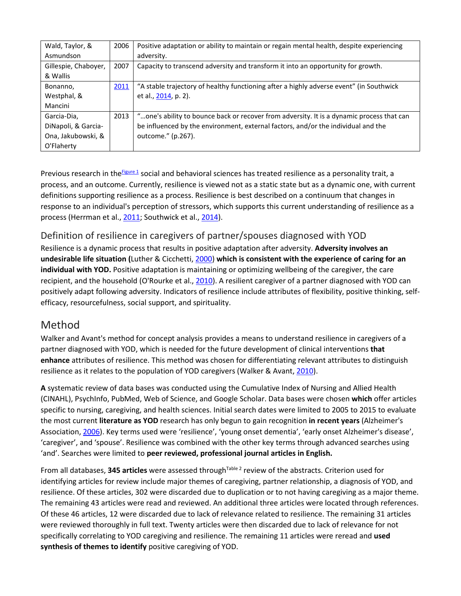| Wald, Taylor, &      | 2006 | Positive adaptation or ability to maintain or regain mental health, despite experiencing  |  |
|----------------------|------|-------------------------------------------------------------------------------------------|--|
| Asmundson            |      | adversity.                                                                                |  |
| Gillespie, Chaboyer, | 2007 | Capacity to transcend adversity and transform it into an opportunity for growth.          |  |
| & Wallis             |      |                                                                                           |  |
| Bonanno,             | 2011 | "A stable trajectory of healthy functioning after a highly adverse event" (in Southwick   |  |
| Westphal, &          |      | et al., 2014, p. 2).                                                                      |  |
| Mancini              |      |                                                                                           |  |
| Garcia-Dia,          | 2013 | "one's ability to bounce back or recover from adversity. It is a dynamic process that can |  |
| DiNapoli, & Garcia-  |      | be influenced by the environment, external factors, and/or the individual and the         |  |
| Ona, Jakubowski, &   |      | outcome." (p.267).                                                                        |  |
| O'Flaherty           |      |                                                                                           |  |

Previous research in the *Figure 1* social and behavioral sciences has treated resilience as a personality trait, a process, and an outcome. Currently, resilience is viewed not as a static state but as a dynamic one, with current definitions supporting resilience as a process. Resilience is best described on a continuum that changes in response to an individual's perception of stressors, which supports this current understanding of resilience as a process (Herrman et al., [2011;](https://www.tandfonline.com/doi/full/10.1080/01612840.2017.1400625) Southwick et al., [2014\)](https://www.tandfonline.com/doi/full/10.1080/01612840.2017.1400625).

### Definition of resilience in caregivers of partner/spouses diagnosed with YOD

Resilience is a dynamic process that results in positive adaptation after adversity. **Adversity involves an undesirable life situation (**Luther & Cicchetti, [2000\)](https://www.tandfonline.com/doi/full/10.1080/01612840.2017.1400625) **which is consistent with the experience of caring for an individual with YOD.** Positive adaptation is maintaining or optimizing wellbeing of the caregiver, the care recipient, and the household (O'Rourke et al., [2010\)](https://www.tandfonline.com/doi/full/10.1080/01612840.2017.1400625). A resilient caregiver of a partner diagnosed with YOD can positively adapt following adversity. Indicators of resilience include attributes of flexibility, positive thinking, selfefficacy, resourcefulness, social support, and spirituality.

# Method

Walker and Avant's method for concept analysis provides a means to understand resilience in caregivers of a partner diagnosed with YOD, which is needed for the future development of clinical interventions **that enhance** attributes of resilience. This method was chosen for differentiating relevant attributes to distinguish resilience as it relates to the population of YOD caregivers (Walker & Avant, [2010\)](https://www.tandfonline.com/doi/full/10.1080/01612840.2017.1400625).

**A** systematic review of data bases was conducted using the Cumulative Index of Nursing and Allied Health (CINAHL), PsychInfo, PubMed, Web of Science, and Google Scholar. Data bases were chosen **which** offer articles specific to nursing, caregiving, and health sciences. Initial search dates were limited to 2005 to 2015 to evaluate the most current **literature as YOD** research has only begun to gain recognition **in recent years** (Alzheimer's Association, [2006\)](https://www.tandfonline.com/doi/full/10.1080/01612840.2017.1400625). Key terms used were 'resilience', 'young onset dementia', 'early onset Alzheimer's disease', 'caregiver', and 'spouse'. Resilience was combined with the other key terms through advanced searches using 'and'. Searches were limited to **peer reviewed, professional journal articles in English.**

From all databases, 345 articles were assessed through<sup>Table 2</sup> review of the abstracts. Criterion used for identifying articles for review include major themes of caregiving, partner relationship, a diagnosis of YOD, and resilience. Of these articles, 302 were discarded due to duplication or to not having caregiving as a major theme. The remaining 43 articles were read and reviewed. An additional three articles were located through references. Of these 46 articles, 12 were discarded due to lack of relevance related to resilience. The remaining 31 articles were reviewed thoroughly in full text. Twenty articles were then discarded due to lack of relevance for not specifically correlating to YOD caregiving and resilience. The remaining 11 articles were reread and **used synthesis of themes to identify** positive caregiving of YOD.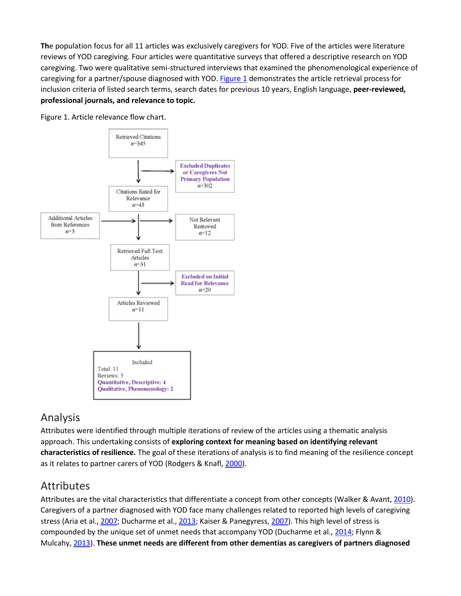**Th**e population focus for all 11 articles was exclusively caregivers for YOD. Five of the articles were literature reviews of YOD caregiving. Four articles were quantitative surveys that offered a descriptive research on YOD caregiving. Two were qualitative semi-structured interviews that examined the phenomenological experience of caregiving for a partner/spouse diagnosed with YOD. [Figure](https://www.tandfonline.com/doi/full/10.1080/01612840.2017.1400625#f0001) 1 demonstrates the article retrieval process for inclusion criteria of listed search terms, search dates for previous 10 years, English language, **peer-reviewed, professional journals, and relevance to topic.**

Figure 1. Article relevance flow chart.



# Analysis

Attributes were identified through multiple iterations of review of the articles using a thematic analysis approach. This undertaking consists of **exploring context for meaning based on identifying relevant characteristics of resilience.** The goal of these iterations of analysis is to find meaning of the resilience concept as it relates to partner carers of YOD (Rodgers & Knafl, [2000\)](https://www.tandfonline.com/doi/full/10.1080/01612840.2017.1400625).

# Attributes

Attributes are the vital characteristics that differentiate a concept from other concepts (Walker & Avant, [2010\)](https://www.tandfonline.com/doi/full/10.1080/01612840.2017.1400625). Caregivers of a partner diagnosed with YOD face many challenges related to reported high levels of caregiving stress (Aria et al., [2007;](https://www.tandfonline.com/doi/full/10.1080/01612840.2017.1400625) Ducharme et al., [2013;](https://www.tandfonline.com/doi/full/10.1080/01612840.2017.1400625) Kaiser & Panegyress, [2007\)](https://www.tandfonline.com/doi/full/10.1080/01612840.2017.1400625). This high level of stress is compounded by the unique set of unmet needs that accompany YOD (Ducharme et al., [2014;](https://www.tandfonline.com/doi/full/10.1080/01612840.2017.1400625) Flynn & Mulcahy, [2013\)](https://www.tandfonline.com/doi/full/10.1080/01612840.2017.1400625). **These unmet needs are different from other dementias as caregivers of partners diagnosed**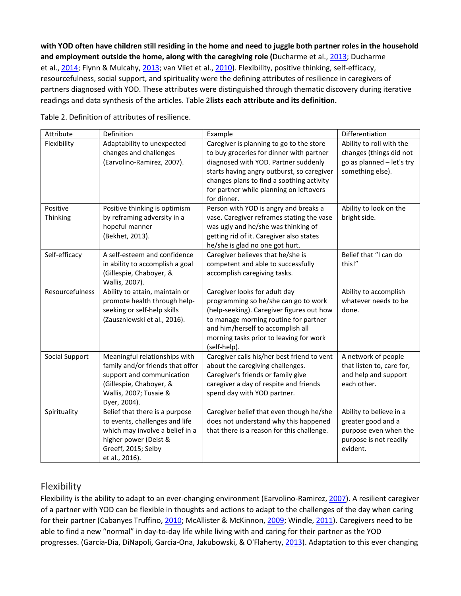**with YOD often have children still residing in the home and need to juggle both partner roles in the household and employment outside the home, along with the caregiving role (**Ducharme et al., [2013;](https://www.tandfonline.com/doi/full/10.1080/01612840.2017.1400625) Ducharme et al., [2014;](https://www.tandfonline.com/doi/full/10.1080/01612840.2017.1400625) Flynn & Mulcahy, [2013;](https://www.tandfonline.com/doi/full/10.1080/01612840.2017.1400625) van Vliet et al., [2010\)](https://www.tandfonline.com/doi/full/10.1080/01612840.2017.1400625). Flexibility, positive thinking, self-efficacy, resourcefulness, social support, and spirituality were the defining attributes of resilience in caregivers of partners diagnosed with YOD. These attributes were distinguished through thematic discovery during iterative readings and data synthesis of the articles. Table 2**lists each attribute and its definition.**

| Attribute            | Definition                                                                                                                                                            | Example                                                                                                                                                                                                                                                                           | Differentiation                                                                                              |
|----------------------|-----------------------------------------------------------------------------------------------------------------------------------------------------------------------|-----------------------------------------------------------------------------------------------------------------------------------------------------------------------------------------------------------------------------------------------------------------------------------|--------------------------------------------------------------------------------------------------------------|
| Flexibility          | Adaptability to unexpected<br>changes and challenges<br>(Earvolino-Ramirez, 2007).                                                                                    | Caregiver is planning to go to the store<br>to buy groceries for dinner with partner<br>diagnosed with YOD. Partner suddenly<br>starts having angry outburst, so caregiver<br>changes plans to find a soothing activity<br>for partner while planning on leftovers<br>for dinner. | Ability to roll with the<br>changes (things did not<br>go as planned - let's try<br>something else).         |
| Positive<br>Thinking | Positive thinking is optimism<br>by reframing adversity in a<br>hopeful manner<br>(Bekhet, 2013).                                                                     | Person with YOD is angry and breaks a<br>vase. Caregiver reframes stating the vase<br>was ugly and he/she was thinking of<br>getting rid of it. Caregiver also states<br>he/she is glad no one got hurt.                                                                          | Ability to look on the<br>bright side.                                                                       |
| Self-efficacy        | A self-esteem and confidence<br>in ability to accomplish a goal<br>(Gillespie, Chaboyer, &<br>Wallis, 2007).                                                          | Caregiver believes that he/she is<br>competent and able to successfully<br>accomplish caregiving tasks.                                                                                                                                                                           | Belief that "I can do<br>this!"                                                                              |
| Resourcefulness      | Ability to attain, maintain or<br>promote health through help-<br>seeking or self-help skills<br>(Zauszniewski et al., 2016).                                         | Caregiver looks for adult day<br>programming so he/she can go to work<br>(help-seeking). Caregiver figures out how<br>to manage morning routine for partner<br>and him/herself to accomplish all<br>morning tasks prior to leaving for work<br>(self-help).                       | Ability to accomplish<br>whatever needs to be<br>done.                                                       |
| Social Support       | Meaningful relationships with<br>family and/or friends that offer<br>support and communication<br>(Gillespie, Chaboyer, &<br>Wallis, 2007; Tusaie &<br>Dyer, 2004).   | Caregiver calls his/her best friend to vent<br>about the caregiving challenges.<br>Caregiver's friends or family give<br>caregiver a day of respite and friends<br>spend day with YOD partner.                                                                                    | A network of people<br>that listen to, care for,<br>and help and support<br>each other.                      |
| Spirituality         | Belief that there is a purpose<br>to events, challenges and life<br>which may involve a belief in a<br>higher power (Deist &<br>Greeff, 2015; Selby<br>et al., 2016). | Caregiver belief that even though he/she<br>does not understand why this happened<br>that there is a reason for this challenge.                                                                                                                                                   | Ability to believe in a<br>greater good and a<br>purpose even when the<br>purpose is not readily<br>evident. |

Table 2. Definition of attributes of resilience.

### Flexibility

Flexibility is the ability to adapt to an ever-changing environment (Earvolino-Ramirez, [2007\)](https://www.tandfonline.com/doi/full/10.1080/01612840.2017.1400625). A resilient caregiver of a partner with YOD can be flexible in thoughts and actions to adapt to the challenges of the day when caring for their partner (Cabanyes Truffino, [2010;](https://www.tandfonline.com/doi/full/10.1080/01612840.2017.1400625) McAllister & McKinnon, [2009;](https://www.tandfonline.com/doi/full/10.1080/01612840.2017.1400625) Windle, [2011\)](https://www.tandfonline.com/doi/full/10.1080/01612840.2017.1400625). Caregivers need to be able to find a new "normal" in day-to-day life while living with and caring for their partner as the YOD progresses. (Garcia-Dia, DiNapoli, Garcia-Ona, Jakubowski, & O'Flaherty, [2013\)](https://www.tandfonline.com/doi/full/10.1080/01612840.2017.1400625). Adaptation to this ever changing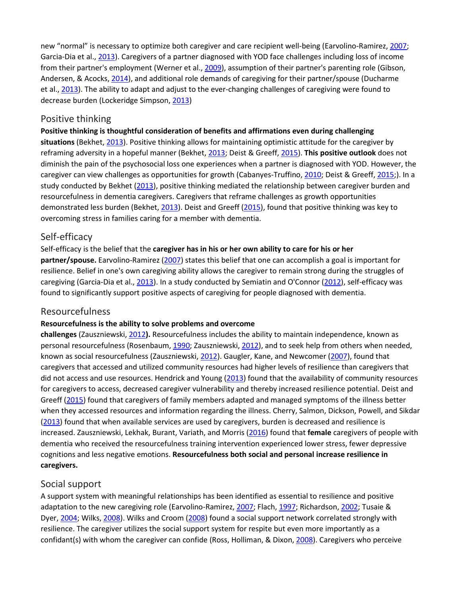new "normal" is necessary to optimize both caregiver and care recipient well-being (Earvolino-Ramirez, [2007;](https://www.tandfonline.com/doi/full/10.1080/01612840.2017.1400625) Garcia-Dia et al., [2013\)](https://www.tandfonline.com/doi/full/10.1080/01612840.2017.1400625). Caregivers of a partner diagnosed with YOD face challenges including loss of income from their partner's employment (Werner et al., [2009\)](https://www.tandfonline.com/doi/full/10.1080/01612840.2017.1400625), assumption of their partner's parenting role (Gibson, Andersen, & Acocks, [2014\)](https://www.tandfonline.com/doi/full/10.1080/01612840.2017.1400625), and additional role demands of caregiving for their partner/spouse (Ducharme et al., [2013\)](https://www.tandfonline.com/doi/full/10.1080/01612840.2017.1400625). The ability to adapt and adjust to the ever-changing challenges of caregiving were found to decrease burden (Lockeridge Simpson, [2013\)](https://www.tandfonline.com/doi/full/10.1080/01612840.2017.1400625)

### Positive thinking

#### **Positive thinking is thoughtful consideration of benefits and affirmations even during challenging**

**situations** (Bekhet, [2013\)](https://www.tandfonline.com/doi/full/10.1080/01612840.2017.1400625). Positive thinking allows for maintaining optimistic attitude for the caregiver by reframing adversity in a hopeful manner (Bekhet, [2013;](https://www.tandfonline.com/doi/full/10.1080/01612840.2017.1400625) Deist & Greeff, [2015\)](https://www.tandfonline.com/doi/full/10.1080/01612840.2017.1400625). **This positive outlook** does not diminish the pain of the psychosocial loss one experiences when a partner is diagnosed with YOD. However, the caregiver can view challenges as opportunities for growth (Cabanyes-Truffino, [2010;](https://www.tandfonline.com/doi/full/10.1080/01612840.2017.1400625) Deist & Greeff, [2015;](https://www.tandfonline.com/doi/full/10.1080/01612840.2017.1400625)). In a study conducted by Bekhet [\(2013\)](https://www.tandfonline.com/doi/full/10.1080/01612840.2017.1400625), positive thinking mediated the relationship between caregiver burden and resourcefulness in dementia caregivers. Caregivers that reframe challenges as growth opportunities demonstrated less burden (Bekhet, [2013\)](https://www.tandfonline.com/doi/full/10.1080/01612840.2017.1400625). Deist and Greeff [\(2015\)](https://www.tandfonline.com/doi/full/10.1080/01612840.2017.1400625), found that positive thinking was key to overcoming stress in families caring for a member with dementia.

### Self-efficacy

Self-efficacy is the belief that the **caregiver has in his or her own ability to care for his or her** 

**partner/spouse.** Earvolino-Ramirez [\(2007\)](https://www.tandfonline.com/doi/full/10.1080/01612840.2017.1400625) states this belief that one can accomplish a goal is important for resilience. Belief in one's own caregiving ability allows the caregiver to remain strong during the struggles of caregiving (Garcia-Dia et al., [2013\)](https://www.tandfonline.com/doi/full/10.1080/01612840.2017.1400625). In a study conducted by Semiatin and O'Connor [\(2012\)](https://www.tandfonline.com/doi/full/10.1080/01612840.2017.1400625), self-efficacy was found to significantly support positive aspects of caregiving for people diagnosed with dementia.

### Resourcefulness

#### **Resourcefulness is the ability to solve problems and overcome**

**challenges** (Zauszniewski, [2012](https://www.tandfonline.com/doi/full/10.1080/01612840.2017.1400625)**).** Resourcefulness includes the ability to maintain independence, known as personal resourcefulness (Rosenbaum, [1990;](https://www.tandfonline.com/doi/full/10.1080/01612840.2017.1400625) Zauszniewski, [2012\)](https://www.tandfonline.com/doi/full/10.1080/01612840.2017.1400625), and to seek help from others when needed, known as social resourcefulness (Zauszniewski, [2012\)](https://www.tandfonline.com/doi/full/10.1080/01612840.2017.1400625). Gaugler, Kane, and Newcomer [\(2007\)](https://www.tandfonline.com/doi/full/10.1080/01612840.2017.1400625), found that caregivers that accessed and utilized community resources had higher levels of resilience than caregivers that did not access and use resources. Hendrick and Young [\(2013\)](https://www.tandfonline.com/doi/full/10.1080/01612840.2017.1400625) found that the availability of community resources for caregivers to access, decreased caregiver vulnerability and thereby increased resilience potential. Deist and Greeff [\(2015\)](https://www.tandfonline.com/doi/full/10.1080/01612840.2017.1400625) found that caregivers of family members adapted and managed symptoms of the illness better when they accessed resources and information regarding the illness. Cherry, Salmon, Dickson, Powell, and Sikdar [\(2013\)](https://www.tandfonline.com/doi/full/10.1080/01612840.2017.1400625) found that when available services are used by caregivers, burden is decreased and resilience is increased. Zauszniewski, Lekhak, Burant, Variath, and Morris [\(2016\)](https://www.tandfonline.com/doi/full/10.1080/01612840.2017.1400625) found that **female** caregivers of people with dementia who received the resourcefulness training intervention experienced lower stress, fewer depressive cognitions and less negative emotions. **Resourcefulness both social and personal increase resilience in caregivers.**

### Social support

A support system with meaningful relationships has been identified as essential to resilience and positive adaptation to the new caregiving role (Earvolino-Ramirez, [2007;](https://www.tandfonline.com/doi/full/10.1080/01612840.2017.1400625) Flach, [1997;](https://www.tandfonline.com/doi/full/10.1080/01612840.2017.1400625) Richardson, [2002;](https://www.tandfonline.com/doi/full/10.1080/01612840.2017.1400625) Tusaie & Dyer, [2004;](https://www.tandfonline.com/doi/full/10.1080/01612840.2017.1400625) Wilks, [2008\)](https://www.tandfonline.com/doi/full/10.1080/01612840.2017.1400625). Wilks and Croom [\(2008\)](https://www.tandfonline.com/doi/full/10.1080/01612840.2017.1400625) found a social support network correlated strongly with resilience. The caregiver utilizes the social support system for respite but even more importantly as a confidant(s) with whom the caregiver can confide (Ross, Holliman, & Dixon, [2008\)](https://www.tandfonline.com/doi/full/10.1080/01612840.2017.1400625). Caregivers who perceive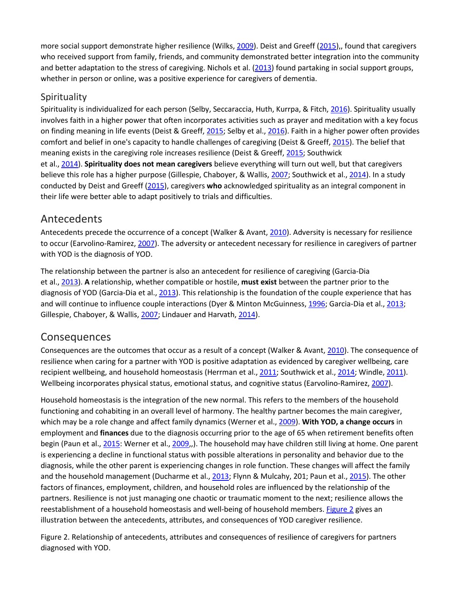more social support demonstrate higher resilience (Wilks, [2009\)](https://www.tandfonline.com/doi/full/10.1080/01612840.2017.1400625). Deist and Greeff [\(2015\)](https://www.tandfonline.com/doi/full/10.1080/01612840.2017.1400625),, found that caregivers who received support from family, friends, and community demonstrated better integration into the community and better adaptation to the stress of caregiving. Nichols et al. [\(2013\)](https://www.tandfonline.com/doi/full/10.1080/01612840.2017.1400625) found partaking in social support groups, whether in person or online, was a positive experience for caregivers of dementia.

### **Spirituality**

Spirituality is individualized for each person (Selby, Seccaraccia, Huth, Kurrpa, & Fitch, [2016\)](https://www.tandfonline.com/doi/full/10.1080/01612840.2017.1400625). Spirituality usually involves faith in a higher power that often incorporates activities such as prayer and meditation with a key focus on finding meaning in life events (Deist & Greeff, [2015;](https://www.tandfonline.com/doi/full/10.1080/01612840.2017.1400625) Selby et al., [2016\)](https://www.tandfonline.com/doi/full/10.1080/01612840.2017.1400625). Faith in a higher power often provides comfort and belief in one's capacity to handle challenges of caregiving (Deist & Greeff, [2015\)](https://www.tandfonline.com/doi/full/10.1080/01612840.2017.1400625). The belief that meaning exists in the caregiving role increases resilience (Deist & Greeff, [2015;](https://www.tandfonline.com/doi/full/10.1080/01612840.2017.1400625) Southwick et al., [2014\)](https://www.tandfonline.com/doi/full/10.1080/01612840.2017.1400625). **Spirituality does not mean caregivers** believe everything will turn out well, but that caregivers believe this role has a higher purpose (Gillespie, Chaboyer, & Wallis, [2007;](https://www.tandfonline.com/doi/full/10.1080/01612840.2017.1400625) Southwick et al., [2014\)](https://www.tandfonline.com/doi/full/10.1080/01612840.2017.1400625). In a study conducted by Deist and Greeff [\(2015\)](https://www.tandfonline.com/doi/full/10.1080/01612840.2017.1400625), caregivers **who** acknowledged spirituality as an integral component in their life were better able to adapt positively to trials and difficulties.

# Antecedents

Antecedents precede the occurrence of a concept (Walker & Avant, [2010\)](https://www.tandfonline.com/doi/full/10.1080/01612840.2017.1400625). Adversity is necessary for resilience to occur (Earvolino-Ramirez, [2007\)](https://www.tandfonline.com/doi/full/10.1080/01612840.2017.1400625). The adversity or antecedent necessary for resilience in caregivers of partner with YOD is the diagnosis of YOD.

The relationship between the partner is also an antecedent for resilience of caregiving (Garcia-Dia et al., [2013\)](https://www.tandfonline.com/doi/full/10.1080/01612840.2017.1400625). **A** relationship, whether compatible or hostile, **must exist** between the partner prior to the diagnosis of YOD (Garcia-Dia et al., [2013\)](https://www.tandfonline.com/doi/full/10.1080/01612840.2017.1400625). This relationship is the foundation of the couple experience that has and will continue to influence couple interactions (Dyer & Minton McGuinness, [1996;](https://www.tandfonline.com/doi/full/10.1080/01612840.2017.1400625) Garcia-Dia et al., [2013;](https://www.tandfonline.com/doi/full/10.1080/01612840.2017.1400625) Gillespie, Chaboyer, & Wallis, [2007;](https://www.tandfonline.com/doi/full/10.1080/01612840.2017.1400625) Lindauer and Harvath, [2014\)](https://www.tandfonline.com/doi/full/10.1080/01612840.2017.1400625).

# Consequences

Consequences are the outcomes that occur as a result of a concept (Walker & Avant, [2010\)](https://www.tandfonline.com/doi/full/10.1080/01612840.2017.1400625). The consequence of resilience when caring for a partner with YOD is positive adaptation as evidenced by caregiver wellbeing, care recipient wellbeing, and household homeostasis (Herrman et al., [2011;](https://www.tandfonline.com/doi/full/10.1080/01612840.2017.1400625) Southwick et al., [2014;](https://www.tandfonline.com/doi/full/10.1080/01612840.2017.1400625) Windle, [2011\)](https://www.tandfonline.com/doi/full/10.1080/01612840.2017.1400625). Wellbeing incorporates physical status, emotional status, and cognitive status (Earvolino-Ramirez, [2007\)](https://www.tandfonline.com/doi/full/10.1080/01612840.2017.1400625).

Household homeostasis is the integration of the new normal. This refers to the members of the household functioning and cohabiting in an overall level of harmony. The healthy partner becomes the main caregiver, which may be a role change and affect family dynamics (Werner et al., [2009\)](https://www.tandfonline.com/doi/full/10.1080/01612840.2017.1400625). **With YOD, a change occurs** in employment and **finances** due to the diagnosis occurring prior to the age of 65 when retirement benefits often begin (Paun et al., [2015:](https://www.tandfonline.com/doi/full/10.1080/01612840.2017.1400625) Werner et al., [2009,](https://www.tandfonline.com/doi/full/10.1080/01612840.2017.1400625),). The household may have children still living at home. One parent is experiencing a decline in functional status with possible alterations in personality and behavior due to the diagnosis, while the other parent is experiencing changes in role function. These changes will affect the family and the household management (Ducharme et al., [2013;](https://www.tandfonline.com/doi/full/10.1080/01612840.2017.1400625) Flynn & Mulcahy, 201; Paun et al., [2015\)](https://www.tandfonline.com/doi/full/10.1080/01612840.2017.1400625). The other factors of finances, employment, children, and household roles are influenced by the relationship of the partners. Resilience is not just managing one chaotic or traumatic moment to the next; resilience allows the reestablishment of a household homeostasis and well-being of household members. [Figure](https://www.tandfonline.com/doi/full/10.1080/01612840.2017.1400625#f0002) 2 gives an illustration between the antecedents, attributes, and consequences of YOD caregiver resilience.

Figure 2. Relationship of antecedents, attributes and consequences of resilience of caregivers for partners diagnosed with YOD.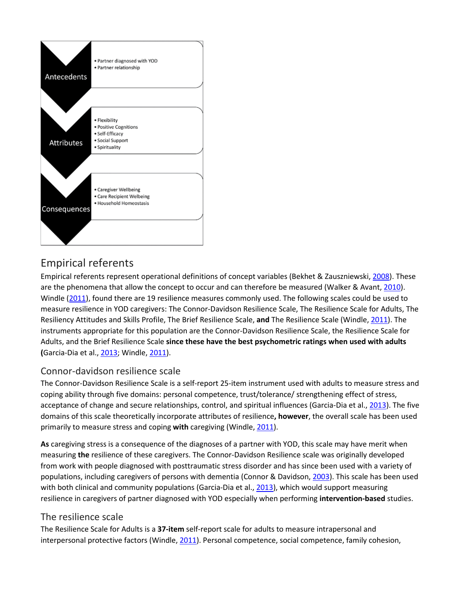

# Empirical referents

Empirical referents represent operational definitions of concept variables (Bekhet & Zauszniewski, [2008\)](https://www.tandfonline.com/doi/full/10.1080/01612840.2017.1400625). These are the phenomena that allow the concept to occur and can therefore be measured (Walker & Avant, [2010\)](https://www.tandfonline.com/doi/full/10.1080/01612840.2017.1400625). Windle [\(2011\)](https://www.tandfonline.com/doi/full/10.1080/01612840.2017.1400625), found there are 19 resilience measures commonly used. The following scales could be used to measure resilience in YOD caregivers: The Connor-Davidson Resilience Scale, The Resilience Scale for Adults, The Resiliency Attitudes and Skills Profile, The Brief Resilience Scale, **and** The Resilience Scale (Windle, [2011\)](https://www.tandfonline.com/doi/full/10.1080/01612840.2017.1400625). The instruments appropriate for this population are the Connor-Davidson Resilience Scale, the Resilience Scale for Adults, and the Brief Resilience Scale **since these have the best psychometric ratings when used with adults (**Garcia-Dia et al., [2013;](https://www.tandfonline.com/doi/full/10.1080/01612840.2017.1400625) Windle, [2011\)](https://www.tandfonline.com/doi/full/10.1080/01612840.2017.1400625).

### Connor-davidson resilience scale

The Connor-Davidson Resilience Scale is a self-report 25-item instrument used with adults to measure stress and coping ability through five domains: personal competence, trust/tolerance/ strengthening effect of stress, acceptance of change and secure relationships, control, and spiritual influences (Garcia-Dia et al., [2013\)](https://www.tandfonline.com/doi/full/10.1080/01612840.2017.1400625). The five domains of this scale theoretically incorporate attributes of resilience**, however**, the overall scale has been used primarily to measure stress and coping **with** caregiving (Windle, [2011\)](https://www.tandfonline.com/doi/full/10.1080/01612840.2017.1400625).

**As** caregiving stress is a consequence of the diagnoses of a partner with YOD, this scale may have merit when measuring **the** resilience of these caregivers. The Connor-Davidson Resilience scale was originally developed from work with people diagnosed with posttraumatic stress disorder and has since been used with a variety of populations, including caregivers of persons with dementia (Connor & Davidson, [2003\)](https://www.tandfonline.com/doi/full/10.1080/01612840.2017.1400625). This scale has been used with both clinical and community populations (Garcia-Dia et al., [2013\)](https://www.tandfonline.com/doi/full/10.1080/01612840.2017.1400625), which would support measuring resilience in caregivers of partner diagnosed with YOD especially when performing **intervention-based** studies.

### The resilience scale

The Resilience Scale for Adults is a **37-item** self-report scale for adults to measure intrapersonal and interpersonal protective factors (Windle, [2011\)](https://www.tandfonline.com/doi/full/10.1080/01612840.2017.1400625). Personal competence, social competence, family cohesion,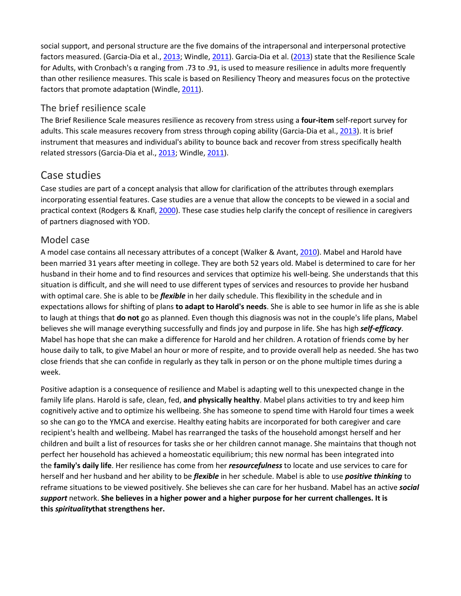social support, and personal structure are the five domains of the intrapersonal and interpersonal protective factors measured. (Garcia-Dia et al., [2013;](https://www.tandfonline.com/doi/full/10.1080/01612840.2017.1400625) Windle, [2011\)](https://www.tandfonline.com/doi/full/10.1080/01612840.2017.1400625). Garcia-Dia et al. [\(2013\)](https://www.tandfonline.com/doi/full/10.1080/01612840.2017.1400625) state that the Resilience Scale for Adults, with Cronbach's α ranging from .73 to .91, is used to measure resilience in adults more frequently than other resilience measures. This scale is based on Resiliency Theory and measures focus on the protective factors that promote adaptation (Windle, [2011\)](https://www.tandfonline.com/doi/full/10.1080/01612840.2017.1400625).

### The brief resilience scale

The Brief Resilience Scale measures resilience as recovery from stress using a **four-item** self-report survey for adults. This scale measures recovery from stress through coping ability (Garcia-Dia et al., [2013\)](https://www.tandfonline.com/doi/full/10.1080/01612840.2017.1400625). It is brief instrument that measures and individual's ability to bounce back and recover from stress specifically health related stressors (Garcia-Dia et al., [2013;](https://www.tandfonline.com/doi/full/10.1080/01612840.2017.1400625) Windle, [2011\)](https://www.tandfonline.com/doi/full/10.1080/01612840.2017.1400625).

### Case studies

Case studies are part of a concept analysis that allow for clarification of the attributes through exemplars incorporating essential features. Case studies are a venue that allow the concepts to be viewed in a social and practical context (Rodgers & Knafl, [2000\)](https://www.tandfonline.com/doi/full/10.1080/01612840.2017.1400625). These case studies help clarify the concept of resilience in caregivers of partners diagnosed with YOD.

### Model case

A model case contains all necessary attributes of a concept (Walker & Avant, [2010\)](https://www.tandfonline.com/doi/full/10.1080/01612840.2017.1400625). Mabel and Harold have been married 31 years after meeting in college. They are both 52 years old. Mabel is determined to care for her husband in their home and to find resources and services that optimize his well-being. She understands that this situation is difficult, and she will need to use different types of services and resources to provide her husband with optimal care. She is able to be *flexible* in her daily schedule. This flexibility in the schedule and in expectations allows for shifting of plans **to adapt to Harold's needs**. She is able to see humor in life as she is able to laugh at things that **do not** go as planned. Even though this diagnosis was not in the couple's life plans, Mabel believes she will manage everything successfully and finds joy and purpose in life. She has high *self-efficacy*. Mabel has hope that she can make a difference for Harold and her children. A rotation of friends come by her house daily to talk, to give Mabel an hour or more of respite, and to provide overall help as needed. She has two close friends that she can confide in regularly as they talk in person or on the phone multiple times during a week.

Positive adaption is a consequence of resilience and Mabel is adapting well to this unexpected change in the family life plans. Harold is safe, clean, fed, **and physically healthy**. Mabel plans activities to try and keep him cognitively active and to optimize his wellbeing. She has someone to spend time with Harold four times a week so she can go to the YMCA and exercise. Healthy eating habits are incorporated for both caregiver and care recipient's health and wellbeing. Mabel has rearranged the tasks of the household amongst herself and her children and built a list of resources for tasks she or her children cannot manage. She maintains that though not perfect her household has achieved a homeostatic equilibrium; this new normal has been integrated into the **family's daily life**. Her resilience has come from her *resourcefulness* to locate and use services to care for herself and her husband and her ability to be *flexible* in her schedule. Mabel is able to use *positive thinking* to reframe situations to be viewed positively. She believes she can care for her husband. Mabel has an active *social support* network. **She believes in a higher power and a higher purpose for her current challenges. It is this** *spirituality***that strengthens her.**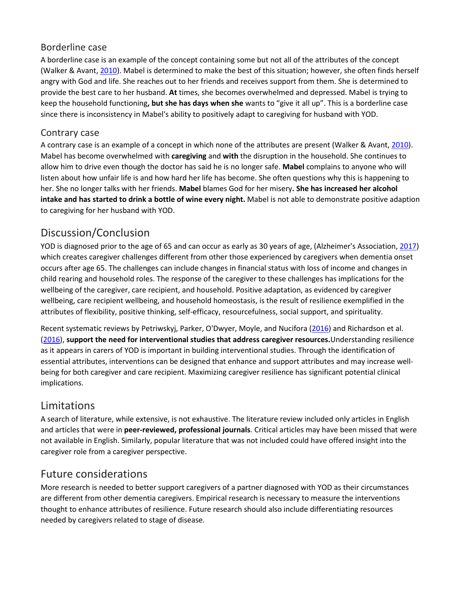### Borderline case

A borderline case is an example of the concept containing some but not all of the attributes of the concept (Walker & Avant, [2010\)](https://www.tandfonline.com/doi/full/10.1080/01612840.2017.1400625). Mabel is determined to make the best of this situation; however, she often finds herself angry with God and life. She reaches out to her friends and receives support from them. She is determined to provide the best care to her husband. **At** times, she becomes overwhelmed and depressed. Mabel is trying to keep the household functioning**, but she has days when she** wants to "give it all up". This is a borderline case since there is inconsistency in Mabel's ability to positively adapt to caregiving for husband with YOD.

### Contrary case

A contrary case is an example of a concept in which none of the attributes are present (Walker & Avant, [2010\)](https://www.tandfonline.com/doi/full/10.1080/01612840.2017.1400625). Mabel has become overwhelmed with **caregiving** and **with** the disruption in the household. She continues to allow him to drive even though the doctor has said he is no longer safe. **Mabel** complains to anyone who will listen about how unfair life is and how hard her life has become. She often questions why this is happening to her. She no longer talks with her friends. **Mabel** blames God for her misery**. She has increased her alcohol intake and has started to drink a bottle of wine every night.** Mabel is not able to demonstrate positive adaption to caregiving for her husband with YOD.

# Discussion/Conclusion

YOD is diagnosed prior to the age of 65 and can occur as early as 30 years of age, (Alzheimer's Association, [2017\)](https://www.tandfonline.com/doi/full/10.1080/01612840.2017.1400625) which creates caregiver challenges different from other those experienced by caregivers when dementia onset occurs after age 65. The challenges can include changes in financial status with loss of income and changes in child rearing and household roles. The response of the caregiver to these challenges has implications for the wellbeing of the caregiver, care recipient, and household. Positive adaptation, as evidenced by caregiver wellbeing, care recipient wellbeing, and household homeostasis, is the result of resilience exemplified in the attributes of flexibility, positive thinking, self-efficacy, resourcefulness, social support, and spirituality.

Recent systematic reviews by Petriwskyj, Parker, O'Dwyer, Moyle, and Nucifora [\(2016\)](https://www.tandfonline.com/doi/full/10.1080/01612840.2017.1400625) and Richardson et al. [\(2016\)](https://www.tandfonline.com/doi/full/10.1080/01612840.2017.1400625), **support the need for interventional studies that address caregiver resources.**Understanding resilience as it appears in carers of YOD is important in building interventional studies. Through the identification of essential attributes, interventions can be designed that enhance and support attributes and may increase wellbeing for both caregiver and care recipient. Maximizing caregiver resilience has significant potential clinical implications.

# Limitations

A search of literature, while extensive, is not exhaustive. The literature review included only articles in English and articles that were in **peer-reviewed, professional journals**. Critical articles may have been missed that were not available in English. Similarly, popular literature that was not included could have offered insight into the caregiver role from a caregiver perspective.

# Future considerations

More research is needed to better support caregivers of a partner diagnosed with YOD as their circumstances are different from other dementia caregivers. Empirical research is necessary to measure the interventions thought to enhance attributes of resilience. Future research should also include differentiating resources needed by caregivers related to stage of disease.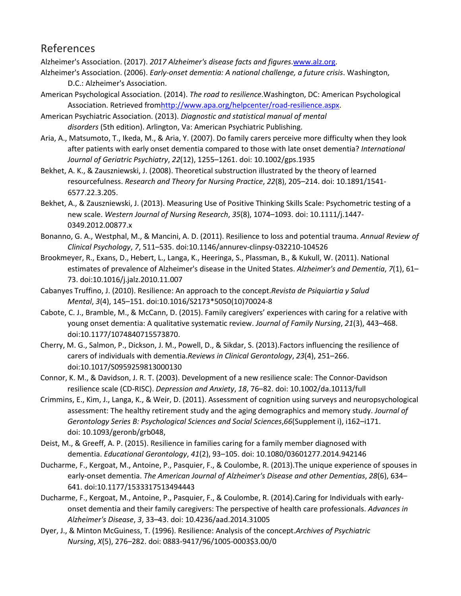# References

Alzheimer's Association. (2017). *2017 Alzheimer's disease facts and figures*[.www.alz.org.](http://www.alz.org/)

- Alzheimer's Association. (2006). *Early-onset dementia: A national challenge, a future crisis*. Washington, D.C.: Alzheimer's Association.
- American Psychological Association. (2014). *The road to resilience*.Washington, DC: American Psychological Association. Retrieved fro[mhttp://www.apa.org/helpcenter/road-resilience.aspx.](http://www.apa.org/helpcenter/road-resilience.aspx)

American Psychiatric Association. (2013). *Diagnostic and statistical manual of mental disorders* (5th edition). Arlington, Va: American Psychiatric Publishing.

- Aria, A., Matsumoto, T., Ikeda, M., & Aria, Y. (2007). Do family carers perceive more difficulty when they look after patients with early onset dementia compared to those with late onset dementia? *International Journal of Geriatric Psychiatry*, *22*(12), 1255–1261. doi: 10.1002/gps.1935
- Bekhet, A. K., & Zauszniewski, J. (2008). Theoretical substruction illustrated by the theory of learned resourcefulness. *Research and Theory for Nursing Practice*, *22*(8), 205–214. doi: 10.1891/1541- 6577.22.3.205.
- Bekhet, A., & Zauszniewski, J. (2013). Measuring Use of Positive Thinking Skills Scale: Psychometric testing of a new scale. *Western Journal of Nursing Research*, *35*(8), 1074–1093. doi: 10.1111/j.1447- 0349.2012.00877.x
- Bonanno, G. A., Westphal, M., & Mancini, A. D. (2011). Resilience to loss and potential trauma. *Annual Review of Clinical Psychology*, *7*, 511–535. doi:10.1146/annurev-clinpsy-032210-104526
- Brookmeyer, R., Exans, D., Hebert, L., Langa, K., Heeringa, S., Plassman, B., & Kukull, W. (2011). National estimates of prevalence of Alzheimer's disease in the United States. *Alzheimer's and Dementia*, *7*(1), 61– 73. doi:10.1016/j.jalz.2010.11.007
- Cabanyes Truffino, J. (2010). Resilience: An approach to the concept.*Revista de Psiquiartia y Salud Mental*, *3*(4), 145–151. doi:10.1016/S2173\*5050(10)70024-8
- Cabote, C. J., Bramble, M., & McCann, D. (2015). Family caregivers' experiences with caring for a relative with young onset dementia: A qualitative systematic review. *Journal of Family Nursing*, *21*(3), 443–468. doi:10.1177/1074840715573870.
- Cherry, M. G., Salmon, P., Dickson, J. M., Powell, D., & Sikdar, S. (2013).Factors influencing the resilience of carers of individuals with dementia.*Reviews in Clinical Gerontology*, *23*(4), 251–266. doi:10.1017/S0959259813000130
- Connor, K. M., & Davidson, J. R. T. (2003). Development of a new resilience scale: The Connor-Davidson resilience scale (CD-RISC). *Depression and Anxiety*, *18*, 76–82. doi: 10.1002/da.10113/full
- Crimmins, E., Kim, J., Langa, K., & Weir, D. (2011). Assessment of cognition using surveys and neuropsychological assessment: The healthy retirement study and the aging demographics and memory study. *Journal of Gerontology Series B: Psychological Sciences and Social Sciences*,*66*(Supplement i), i162–i171. doi: 10.1093/geronb/grb048,
- Deist, M., & Greeff, A. P. (2015). Resilience in families caring for a family member diagnosed with dementia. *Educational Gerontology*, *41*(2), 93–105. doi: 10.1080/03601277.2014.942146
- Ducharme, F., Kergoat, M., Antoine, P., Pasquier, F., & Coulombe, R. (2013).The unique experience of spouses in early-onset dementia. *The American Journal of Alzheimer's Disease and other Dementias*, *28*(6), 634– 641. doi:10.1177/1533317513494443
- Ducharme, F., Kergoat, M., Antoine, P., Pasquier, F., & Coulombe, R. (2014).Caring for Individuals with earlyonset dementia and their family caregivers: The perspective of health care professionals. *Advances in Alzheimer's Disease*, *3*, 33–43. doi: 10.4236/aad.2014.31005
- Dyer, J., & Minton McGuiness, T. (1996). Resilience: Analysis of the concept.*Archives of Psychiatric Nursing*, *X*(5), 276–282. doi: 0883-9417/96/1005-0003\$3.00/0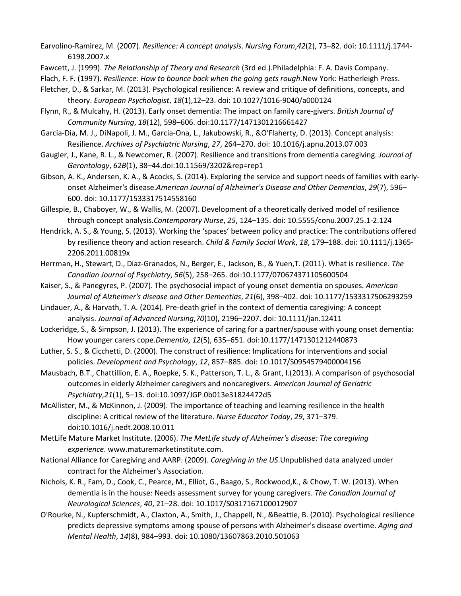Earvolino-Ramirez, M. (2007). *Resilience: A concept analysis*. *Nursing Forum*,*42*(2), 73–82. doi: 10.1111/j.1744- 6198.2007.x

Fawcett, J. (1999). *The Relationship of Theory and Research* (3rd ed.).Philadelphia: F. A. Davis Company.

Flach, F. F. (1997). *Resilience: How to bounce back when the going gets rough*.New York: Hatherleigh Press.

- Fletcher, D., & Sarkar, M. (2013). Psychological resilience: A review and critique of definitions, concepts, and theory. *European Psychologist*, *18*(1),12–23. doi: 10.1027/1016-9040/a000124
- Flynn, R., & Mulcahy, H. (2013). Early onset dementia: The impact on family care-givers. *British Journal of Community Nursing*, *18*(12), 598–606. doi:10.1177/1471301216661427
- Garcia-Dia, M. J., DiNapoli, J. M., Garcia-Ona, L., Jakubowski, R., &O'Flaherty, D. (2013). Concept analysis: Resilience. *Archives of Psychiatric Nursing*, *27*, 264–270. doi: 10.1016/j.apnu.2013.07.003
- Gaugler, J., Kane, R. L., & Newcomer, R. (2007). Resilience and transitions from dementia caregiving. *Journal of Gerontology*, *62B*(1), 38–44.doi:10.11569/3202&rep=rep1
- Gibson, A. K., Andersen, K. A., & Acocks, S. (2014). Exploring the service and support needs of families with earlyonset Alzheimer's disease.*American Journal of Alzheimer's Disease and Other Dementias*, *29*(7), 596– 600. doi: 10.1177/1533317514558160
- Gillespie, B., Chaboyer, W., & Wallis, M. (2007). Development of a theoretically derived model of resilience through concept analysis.*Contemporary Nurse*, *25*, 124–135. doi: 10.5555/conu.2007.25.1-2.124
- Hendrick, A. S., & Young, S. (2013). Working the 'spaces' between policy and practice: The contributions offered by resilience theory and action research. *Child & Family Social Work*, *18*, 179–188. doi: 10.1111/j.1365- 2206.2011.00819x
- Herrman, H., Stewart, D., Diaz-Granados, N., Berger, E., Jackson, B., & Yuen,T. (2011). What is resilience. *The Canadian Journal of Psychiatry*, *56*(5), 258–265. doi:10.1177/070674371105600504
- Kaiser, S., & Panegyres, P. (2007). The psychosocial impact of young onset dementia on spouses. *American Journal of Alzheimer's disease and Other Dementias*, *21*(6), 398–402. doi: 10.1177/1533317506293259
- Lindauer, A., & Harvath, T. A. (2014). Pre-death grief in the context of dementia caregiving: A concept analysis. *Journal of Advanced Nursing*,*70*(10), 2196–2207. doi: 10.1111/jan.12411
- Lockeridge, S., & Simpson, J. (2013). The experience of caring for a partner/spouse with young onset dementia: How younger carers cope.*Dementia*, *12*(5), 635–651. doi:10.1177/1471301212440873
- Luther, S. S., & Cicchetti, D. (2000). The construct of resilience: Implications for interventions and social policies. *Development and Psychology*, *12*, 857–885. doi: 10.1017/S0954579400004156
- Mausbach, B.T., Chattillion, E. A., Roepke, S. K., Patterson, T. L., & Grant, I.(2013). A comparison of psychosocial outcomes in elderly Alzheimer caregivers and noncaregivers. *American Journal of Geriatric Psychiatry*,*21*(1), 5–13. doi:10.1097/JGP.0b013e31824472d5
- McAllister, M., & McKinnon, J. (2009). The importance of teaching and learning resilience in the health discipline: A critical review of the literature. *Nurse Educator Today*, *29*, 371–379. doi:10.1016/j.nedt.2008.10.011
- MetLife Mature Market Institute. (2006). *The MetLife study of Alzheimer's disease: The caregiving experience*. www.maturemarketinstitute.com.
- National Alliance for Caregiving and AARP. (2009). *Caregiving in the US*.Unpublished data analyzed under contract for the Alzheimer's Association.
- Nichols, K. R., Fam, D., Cook, C., Pearce, M., Elliot, G., Baago, S., Rockwood,K., & Chow, T. W. (2013). When dementia is in the house: Needs assessment survey for young caregivers. *The Canadian Journal of Neurological Sciences*, *40*, 21–28. doi: 10.1017/S0317167100012907
- O'Rourke, N., Kupferschmidt, A., Claxton, A., Smith, J., Chappell, N., &Beattie, B. (2010). Psychological resilience predicts depressive symptoms among spouse of persons with Alzheimer's disease overtime. *Aging and Mental Health*, *14*(8), 984–993. doi: 10.1080/13607863.2010.501063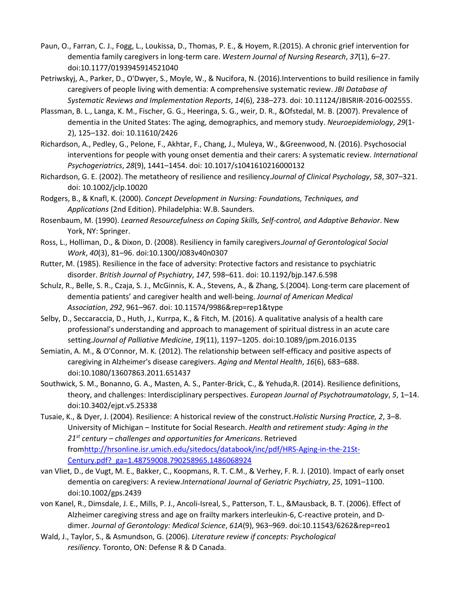- Paun, O., Farran, C. J., Fogg, L., Loukissa, D., Thomas, P. E., & Hoyem, R.(2015). A chronic grief intervention for dementia family caregivers in long-term care. *Western Journal of Nursing Research*, *37*(1), 6–27. doi:10.1177/0193945914521040
- Petriwskyj, A., Parker, D., O'Dwyer, S., Moyle, W., & Nucifora, N. (2016).Interventions to build resilience in family caregivers of people living with dementia: A comprehensive systematic review. *JBI Database of Systematic Reviews and Implementation Reports*, *14*(6), 238–273. doi: 10.11124/JBISRIR-2016-002555.
- Plassman, B. L., Langa, K. M., Fischer, G. G., Heeringa, S. G., weir, D. R., &Ofstedal, M. B. (2007). Prevalence of dementia in the United States: The aging, demographics, and memory study. *Neuroepidemiology*, *29*(1- 2), 125–132. doi: 10.11610/2426
- Richardson, A., Pedley, G., Pelone, F., Akhtar, F., Chang, J., Muleya, W., &Greenwood, N. (2016). Psychosocial interventions for people with young onset dementia and their carers: A systematic review. *International Psychogeriatrics*, *28*(9), 1441–1454. doi: 10.1017/s1041610216000132
- Richardson, G. E. (2002). The metatheory of resilience and resiliency.*Journal of Clinical Psychology*, *58*, 307–321. doi: 10.1002/jclp.10020
- Rodgers, B., & Knafl, K. (2000). *Concept Development in Nursing: Foundations, Techniques, and Applications* (2nd Edition). Philadelphia: W.B. Saunders.
- Rosenbaum, M. (1990). *Learned Resourcefulness on Coping Skills, Self-control, and Adaptive Behavior*. New York, NY: Springer.
- Ross, L., Holliman, D., & Dixon, D. (2008). Resiliency in family caregivers.*Journal of Gerontological Social Work*, *40*(3), 81–96. doi:10.1300/J083v40n0307
- Rutter, M. (1985). Resilience in the face of adversity: Protective factors and resistance to psychiatric disorder. *British Journal of Psychiatry*, *147*, 598–611. doi: 10.1192/bjp.147.6.598
- Schulz, R., Belle, S. R., Czaja, S. J., McGinnis, K. A., Stevens, A., & Zhang, S.(2004). Long-term care placement of dementia patients' and caregiver health and well-being. *Journal of American Medical Association*, *292*, 961–967. doi: 10.11574/9986&rep=rep1&type
- Selby, D., Seccaraccia, D., Huth, J., Kurrpa, K., & Fitch, M. (2016). A qualitative analysis of a health care professional's understanding and approach to management of spiritual distress in an acute care setting.*Journal of Palliative Medicine*, *19*(11), 1197–1205. doi:10.1089/jpm.2016.0135
- Semiatin, A. M., & O'Connor, M. K. (2012). The relationship between self-efficacy and positive aspects of caregiving in Alzheimer's disease caregivers. *Aging and Mental Health*, *16*(6), 683–688. doi:10.1080/13607863.2011.651437
- Southwick, S. M., Bonanno, G. A., Masten, A. S., Panter-Brick, C., & Yehuda,R. (2014). Resilience definitions, theory, and challenges: Interdisciplinary perspectives. *European Journal of Psychotraumatology*, *5*, 1–14. doi:10.3402/ejpt.v5.25338
- Tusaie, K., & Dyer, J. (2004). Resilience: A historical review of the construct.*Holistic Nursing Practice, 2*, 3–8. University of Michigan – Institute for Social Research. *Health and retirement study: Aging in the 21st century – challenges and opportunities for Americans*. Retrieved fro[mhttp://hrsonline.isr.umich.edu/sitedocs/databook/inc/pdf/HRS-Aging-in-the-21St-](http://hrsonline.isr.umich.edu/sitedocs/databook/inc/pdf/HRS-Aging-in-the-21St-Century.pdf?_ga=1.48759008.790258965.1486068924)[Century.pdf?\\_ga=1.48759008.790258965.1486068924](http://hrsonline.isr.umich.edu/sitedocs/databook/inc/pdf/HRS-Aging-in-the-21St-Century.pdf?_ga=1.48759008.790258965.1486068924)
- van Vliet, D., de Vugt, M. E., Bakker, C., Koopmans, R. T. C.M., & Verhey, F. R. J. (2010). Impact of early onset dementia on caregivers: A review.*International Journal of Geriatric Psychiatry*, *25*, 1091–1100. doi:10.1002/gps.2439
- von Kanel, R., Dimsdale, J. E., Mills, P. J., Ancoli-Isreal, S., Patterson, T. L., &Mausback, B. T. (2006). Effect of Alzheimer caregiving stress and age on frailty markers interleukin-6, C-reactive protein, and Ddimer. *Journal of Gerontology: Medical Science*, *61A*(9), 963–969. doi:10.11543/6262&rep=reo1
- Wald, J., Taylor, S., & Asmundson, G. (2006). *Literature review if concepts: Psychological resiliency*. Toronto, ON: Defense R & D Canada.